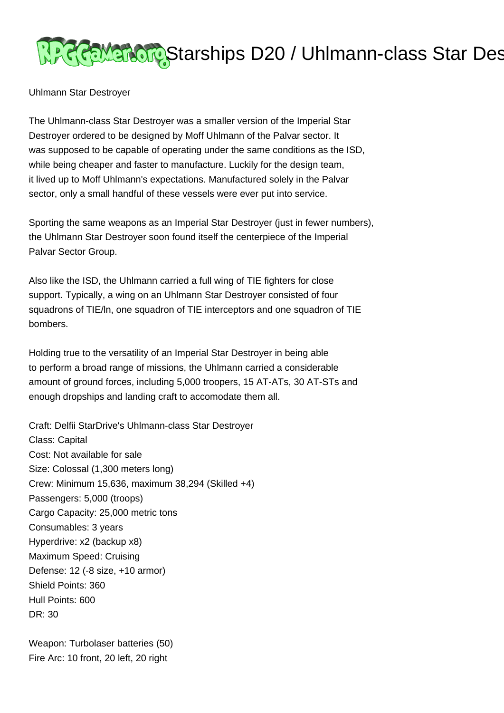

Uhlmann Star Destroyer

The Uhlmann-class Star Destroyer was a smaller version of the Imperial Star Destroyer ordered to be designed by Moff Uhlmann of the Palvar sector. It was supposed to be capable of operating under the same conditions as the ISD, while being cheaper and faster to manufacture. Luckily for the design team, it lived up to Moff Uhlmann's expectations. Manufactured solely in the Palvar sector, only a small handful of these vessels were ever put into service.

Sporting the same weapons as an Imperial Star Destroyer (just in fewer numbers), the Uhlmann Star Destroyer soon found itself the centerpiece of the Imperial Palvar Sector Group.

Also like the ISD, the Uhlmann carried a full wing of TIE fighters for close support. Typically, a wing on an Uhlmann Star Destroyer consisted of four squadrons of TIE/ln, one squadron of TIE interceptors and one squadron of TIE bombers.

Holding true to the versatility of an Imperial Star Destroyer in being able to perform a broad range of missions, the Uhlmann carried a considerable amount of ground forces, including 5,000 troopers, 15 AT-ATs, 30 AT-STs and enough dropships and landing craft to accomodate them all.

Craft: Delfii StarDrive's Uhlmann-class Star Destroyer Class: Capital Cost: Not available for sale Size: Colossal (1,300 meters long) Crew: Minimum 15,636, maximum 38,294 (Skilled +4) Passengers: 5,000 (troops) Cargo Capacity: 25,000 metric tons Consumables: 3 years Hyperdrive: x2 (backup x8) Maximum Speed: Cruising Defense: 12 (-8 size, +10 armor) Shield Points: 360 Hull Points: 600 DR: 30

Weapon: Turbolaser batteries (50) Fire Arc: 10 front, 20 left, 20 right